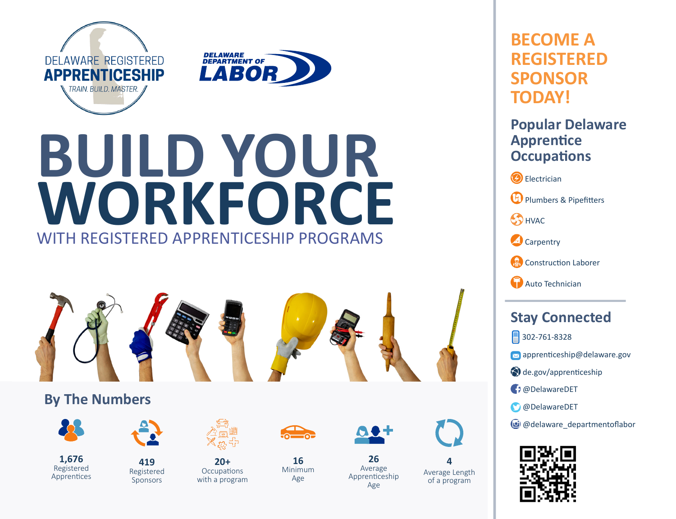

# **BUILD YOUR WORKFORCE** WITH REGISTERED APPRENTICESHIP PROGRAMS



**20+ Occupations** with a program

# **By The Numbers**



**1,676** Registered Apprentices



**419** Registered **Sponsors** 



**16** Minimum Age



**26** Average Apprenticeship Age



**4** Average Length of a program

# **BECOME A REGISTERED SPONSOR TODAY!**

# **Popular Delaware Apprentice Occupations**

**B** Electrician **D** Plumbers & Pipefitters **SA HVAC** Carpentry Construction Laborer

**Auto Technician** 

# **Stay Connected**

302-761-8328

- **M** apprenticeship@delaware.gov
- de.gov/apprenticeship
- @DelawareDET
- @DelawareDET
- @delaware\_departmentoflabor